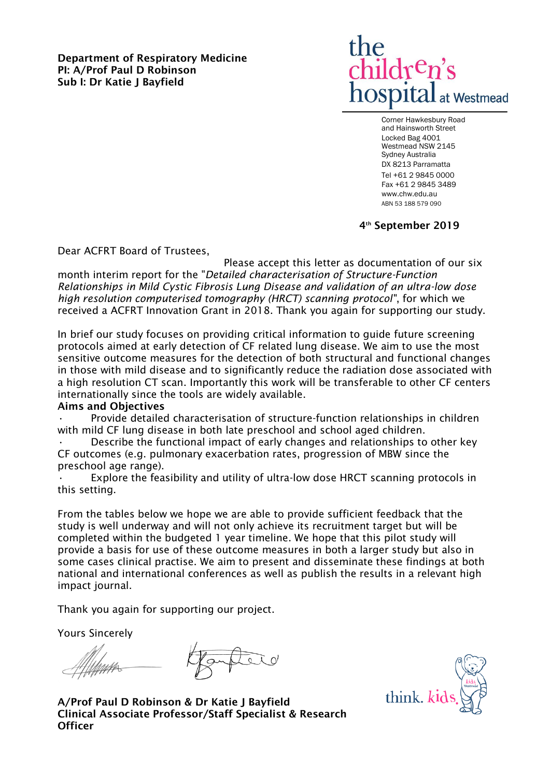**Department of Respiratory Medicine PI: A/Prof Paul D Robinson Sub I: Dr Katie J Bayfield**



Corner Hawkesbury Road and Hainsworth Street Locked Bag 4001 Westmead NSW 2145 Sydney Australia DX 8213 Parramatta Tel +61 2 9845 0000 Fax +61 2 9845 3489 www.chw.edu.au ABN 53 188 579 090

**4 th September 2019**

Dear ACFRT Board of Trustees,

Please accept this letter as documentation of our six month interim report for the "*Detailed characterisation of Structure-Function Relationships in Mild Cystic Fibrosis Lung Disease and validation of an ultra-low dose high resolution computerised tomography (HRCT) scanning protocol"*, for which we received a ACFRT Innovation Grant in 2018. Thank you again for supporting our study.

In brief our study focuses on providing critical information to guide future screening protocols aimed at early detection of CF related lung disease. We aim to use the most sensitive outcome measures for the detection of both structural and functional changes in those with mild disease and to significantly reduce the radiation dose associated with a high resolution CT scan. Importantly this work will be transferable to other CF centers internationally since the tools are widely available.

## **Aims and Objectives**

Provide detailed characterisation of structure-function relationships in children with mild CF lung disease in both late preschool and school aged children.

• Describe the functional impact of early changes and relationships to other key CF outcomes (e.g. pulmonary exacerbation rates, progression of MBW since the preschool age range).

Explore the feasibility and utility of ultra-low dose HRCT scanning protocols in this setting.

From the tables below we hope we are able to provide sufficient feedback that the study is well underway and will not only achieve its recruitment target but will be completed within the budgeted 1 year timeline. We hope that this pilot study will provide a basis for use of these outcome measures in both a larger study but also in some cases clinical practise. We aim to present and disseminate these findings at both national and international conferences as well as publish the results in a relevant high impact journal.

Thank you again for supporting our project.

Yours Sincerely

**Officer** 

**A/Prof Paul D Robinson & Dr Katie J Bayfield Clinical Associate Professor/Staff Specialist & Research** 

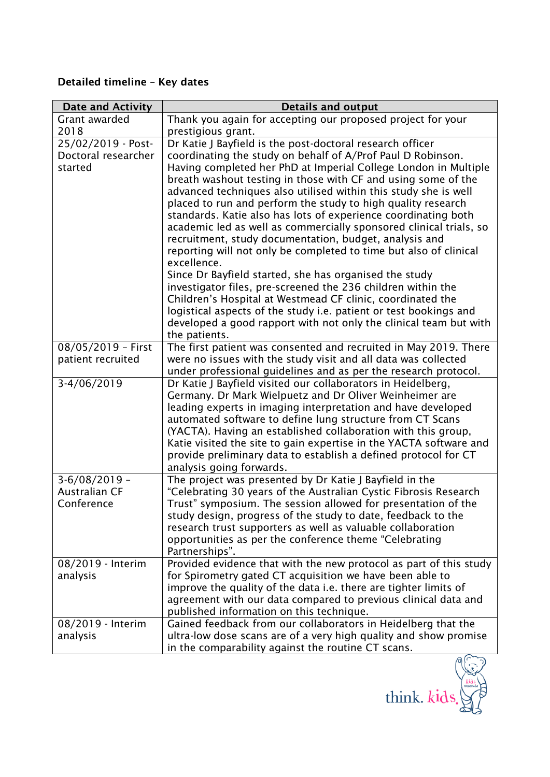## **Detailed timeline – Key dates**

| <b>Date and Activity</b> | <b>Details and output</b>                                                                                                      |  |  |
|--------------------------|--------------------------------------------------------------------------------------------------------------------------------|--|--|
| Grant awarded            | Thank you again for accepting our proposed project for your                                                                    |  |  |
| 2018                     | prestigious grant.                                                                                                             |  |  |
| 25/02/2019 - Post-       | Dr Katie J Bayfield is the post-doctoral research officer                                                                      |  |  |
| Doctoral researcher      | coordinating the study on behalf of A/Prof Paul D Robinson.                                                                    |  |  |
| started                  | Having completed her PhD at Imperial College London in Multiple                                                                |  |  |
|                          | breath washout testing in those with CF and using some of the                                                                  |  |  |
|                          | advanced techniques also utilised within this study she is well                                                                |  |  |
|                          | placed to run and perform the study to high quality research<br>standards. Katie also has lots of experience coordinating both |  |  |
|                          | academic led as well as commercially sponsored clinical trials, so                                                             |  |  |
|                          | recruitment, study documentation, budget, analysis and                                                                         |  |  |
|                          | reporting will not only be completed to time but also of clinical                                                              |  |  |
|                          | excellence.                                                                                                                    |  |  |
|                          | Since Dr Bayfield started, she has organised the study                                                                         |  |  |
|                          | investigator files, pre-screened the 236 children within the                                                                   |  |  |
|                          | Children's Hospital at Westmead CF clinic, coordinated the                                                                     |  |  |
|                          | logistical aspects of the study i.e. patient or test bookings and                                                              |  |  |
|                          | developed a good rapport with not only the clinical team but with                                                              |  |  |
|                          | the patients.                                                                                                                  |  |  |
| 08/05/2019 - First       | The first patient was consented and recruited in May 2019. There                                                               |  |  |
| patient recruited        | were no issues with the study visit and all data was collected                                                                 |  |  |
|                          | under professional guidelines and as per the research protocol.                                                                |  |  |
| 3-4/06/2019              | Dr Katie J Bayfield visited our collaborators in Heidelberg,                                                                   |  |  |
|                          | Germany. Dr Mark Wielpuetz and Dr Oliver Weinheimer are                                                                        |  |  |
|                          | leading experts in imaging interpretation and have developed<br>automated software to define lung structure from CT Scans      |  |  |
|                          | (YACTA). Having an established collaboration with this group,                                                                  |  |  |
|                          | Katie visited the site to gain expertise in the YACTA software and                                                             |  |  |
|                          | provide preliminary data to establish a defined protocol for CT                                                                |  |  |
|                          | analysis going forwards.                                                                                                       |  |  |
| $3-6/08/2019$ -          | The project was presented by Dr Katie J Bayfield in the                                                                        |  |  |
| <b>Australian CF</b>     | "Celebrating 30 years of the Australian Cystic Fibrosis Research                                                               |  |  |
| Conference               | Trust" symposium. The session allowed for presentation of the                                                                  |  |  |
|                          | study design, progress of the study to date, feedback to the                                                                   |  |  |
|                          | research trust supporters as well as valuable collaboration                                                                    |  |  |
|                          | opportunities as per the conference theme "Celebrating                                                                         |  |  |
|                          | Partnerships".                                                                                                                 |  |  |
| 08/2019 - Interim        | Provided evidence that with the new protocol as part of this study                                                             |  |  |
| analysis                 | for Spirometry gated CT acquisition we have been able to<br>improve the quality of the data i.e. there are tighter limits of   |  |  |
|                          | agreement with our data compared to previous clinical data and                                                                 |  |  |
|                          | published information on this technique.                                                                                       |  |  |
| 08/2019 - Interim        | Gained feedback from our collaborators in Heidelberg that the                                                                  |  |  |
| analysis                 | ultra-low dose scans are of a very high quality and show promise                                                               |  |  |
|                          | in the comparability against the routine CT scans.                                                                             |  |  |
|                          |                                                                                                                                |  |  |